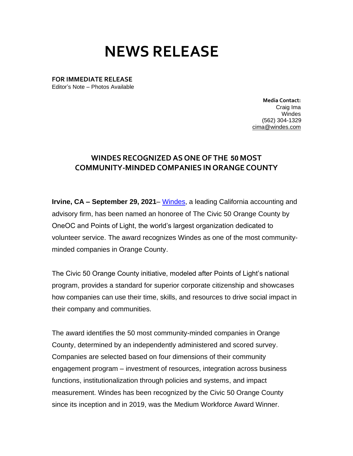## **NEWS RELEASE**

**FOR IMMEDIATE RELEASE** Editor's Note – Photos Available

> **Media Contact:**  Craig Ima Windes (562) 304-1329 [cima@windes.com](mailto:cima@windes.com)

## **WINDES RECOGNIZEDAS ONE OF THE 50 MOST COMMUNITY-MINDEDCOMPANIES IN ORANGE COUNTY**

**Irvine, CA – September 29, 2021**– [Windes,](http://windes.com/) a leading California accounting and advisory firm, has been named an honoree of The Civic 50 Orange County by OneOC and Points of Light, the world's largest organization dedicated to volunteer service. The award recognizes Windes as one of the most communityminded companies in Orange County.

The Civic 50 Orange County initiative, modeled after Points of Light's national program, provides a standard for superior corporate citizenship and showcases how companies can use their time, skills, and resources to drive social impact in their company and communities.

The award identifies the 50 most community-minded companies in Orange County, determined by an independently administered and scored survey. Companies are selected based on four dimensions of their community engagement program – investment of resources, integration across business functions, institutionalization through policies and systems, and impact measurement. Windes has been recognized by the Civic 50 Orange County since its inception and in 2019, was the Medium Workforce Award Winner.